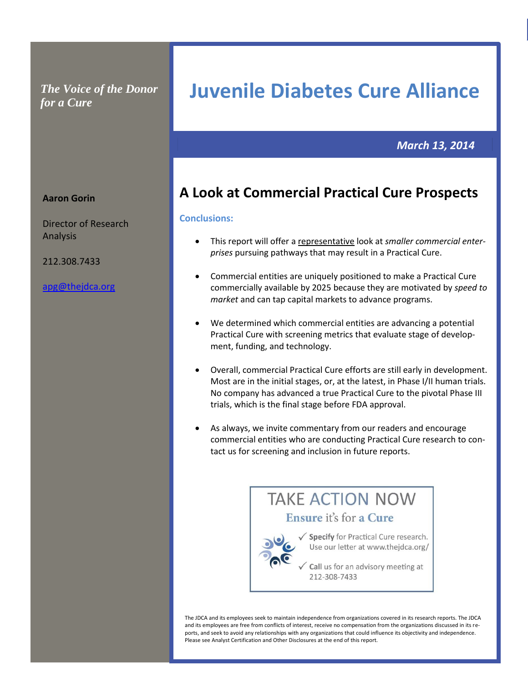*The Voice of the Donor for a Cure*

# **Juvenile Diabetes Cure Alliance**

**al Cure Pro Commercial Practical Cure Prospects spects Commercial Practical Cure Prospects**

### *March 13, 2014*

# **A Look at Commercial Practical Cure Prospects**

#### **Conclusions:**

- This report will offer a representative look at *smaller commercial enterprises* pursuing pathways that may result in a Practical Cure.
- Commercial entities are uniquely positioned to make a Practical Cure commercially available by 2025 because they are motivated by *speed to market* and can tap capital markets to advance programs.
- We determined which commercial entities are advancing a potential Practical Cure with screening metrics that evaluate stage of development, funding, and technology.
- Overall, commercial Practical Cure efforts are still early in development. Most are in the initial stages, or, at the latest, in Phase I/II human trials. No company has advanced a true Practical Cure to the pivotal Phase III trials, which is the final stage before FDA approval.
- As always, we invite commentary from our readers and encourage commercial entities who are conducting Practical Cure research to contact us for screening and inclusion in future reports.



The JDCA and its employees seek to maintain independence from organizations covered in its research reports. The JDCA and its employees are free from conflicts of interest, receive no compensation from the organizations discussed in its reports, and seek to avoid any relationships with any organizations that could influence its objectivity and independence. Please see Analyst Certification and Other Disclosures at the end of this report.

#### **Aaron Gorin**

Director of Research Analysis

212.308.7433

[apg@thejdca.org](mailto:apg@thejdca.org)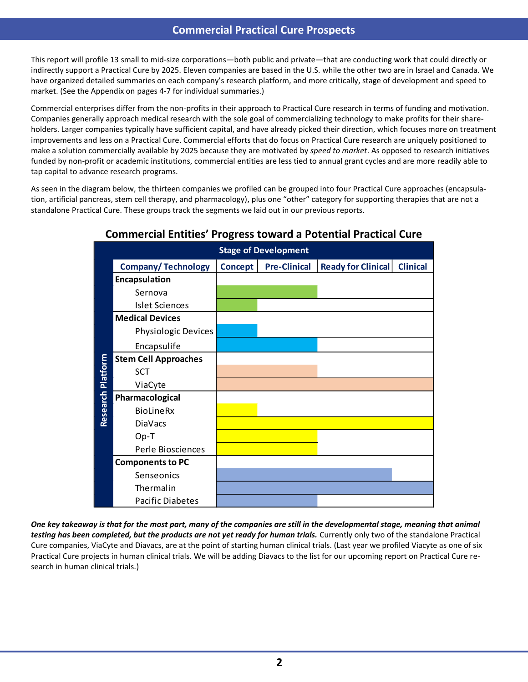### **Commercial Practical Cure Prospects**

This report will profile 13 small to mid-size corporations—both public and private—that are conducting work that could directly or indirectly support a Practical Cure by 2025. Eleven companies are based in the U.S. while the other two are in Israel and Canada. We have organized detailed summaries on each company's research platform, and more critically, stage of development and speed to market. (See the Appendix on pages 4-7 for individual summaries.)

Commercial enterprises differ from the non-profits in their approach to Practical Cure research in terms of funding and motivation. Companies generally approach medical research with the sole goal of commercializing technology to make profits for their shareholders. Larger companies typically have sufficient capital, and have already picked their direction, which focuses more on treatment improvements and less on a Practical Cure. Commercial efforts that do focus on Practical Cure research are uniquely positioned to make a solution commercially available by 2025 because they are motivated by *speed to market*. As opposed to research initiatives funded by non-profit or academic institutions, commercial entities are less tied to annual grant cycles and are more readily able to tap capital to advance research programs.

As seen in the diagram below, the thirteen companies we profiled can be grouped into four Practical Cure approaches (encapsulation, artificial pancreas, stem cell therapy, and pharmacology), plus one "other" category for supporting therapies that are not a standalone Practical Cure. These groups track the segments we laid out in our previous reports.

|                   | <b>Stage of Development</b> |                |                     |                           |                 |  |  |  |  |  |  |  |
|-------------------|-----------------------------|----------------|---------------------|---------------------------|-----------------|--|--|--|--|--|--|--|
|                   | <b>Company/Technology</b>   | <b>Concept</b> | <b>Pre-Clinical</b> | <b>Ready for Clinical</b> | <b>Clinical</b> |  |  |  |  |  |  |  |
| Research Platform | Encapsulation               |                |                     |                           |                 |  |  |  |  |  |  |  |
|                   | Sernova                     |                |                     |                           |                 |  |  |  |  |  |  |  |
|                   | <b>Islet Sciences</b>       |                |                     |                           |                 |  |  |  |  |  |  |  |
|                   | <b>Medical Devices</b>      |                |                     |                           |                 |  |  |  |  |  |  |  |
|                   | Physiologic Devices         |                |                     |                           |                 |  |  |  |  |  |  |  |
|                   | Encapsulife                 |                |                     |                           |                 |  |  |  |  |  |  |  |
|                   | <b>Stem Cell Approaches</b> |                |                     |                           |                 |  |  |  |  |  |  |  |
|                   | SCT                         |                |                     |                           |                 |  |  |  |  |  |  |  |
|                   | ViaCyte                     |                |                     |                           |                 |  |  |  |  |  |  |  |
|                   | Pharmacological             |                |                     |                           |                 |  |  |  |  |  |  |  |
|                   | <b>BioLineRx</b>            |                |                     |                           |                 |  |  |  |  |  |  |  |
|                   | <b>DiaVacs</b>              |                |                     |                           |                 |  |  |  |  |  |  |  |
|                   | $Op-T$                      |                |                     |                           |                 |  |  |  |  |  |  |  |
|                   | Perle Biosciences           |                |                     |                           |                 |  |  |  |  |  |  |  |
|                   | <b>Components to PC</b>     |                |                     |                           |                 |  |  |  |  |  |  |  |
|                   | Senseonics                  |                |                     |                           |                 |  |  |  |  |  |  |  |
|                   | Thermalin                   |                |                     |                           |                 |  |  |  |  |  |  |  |
|                   | <b>Pacific Diabetes</b>     |                |                     |                           |                 |  |  |  |  |  |  |  |

### **Commercial Entities' Progress toward a Potential Practical Cure**

*One key takeaway is that for the most part, many of the companies are still in the developmental stage, meaning that animal testing has been completed, but the products are not yet ready for human trials.* Currently only two of the standalone Practical Cure companies, ViaCyte and Diavacs, are at the point of starting human clinical trials. (Last year we profiled Viacyte as one of six Practical Cure projects in human clinical trials. We will be adding Diavacs to the list for our upcoming report on Practical Cure research in human clinical trials.)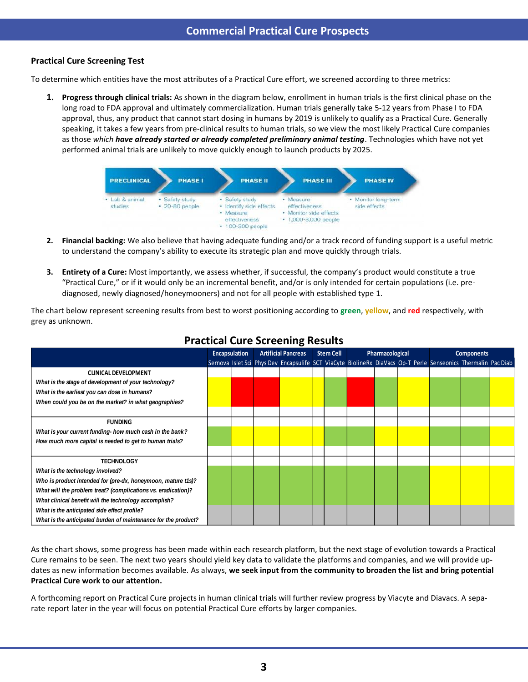### **Practical Cure Screening Test**

To determine which entities have the most attributes of a Practical Cure effort, we screened according to three metrics:

**1. Progress through clinical trials:** As shown in the diagram below, enrollment in human trials is the first clinical phase on the long road to FDA approval and ultimately commercialization. Human trials generally take 5-12 years from Phase I to FDA approval, thus, any product that cannot start dosing in humans by 2019 is unlikely to qualify as a Practical Cure. Generally speaking, it takes a few years from pre-clinical results to human trials, so we view the most likely Practical Cure companies as those *which have already started or already completed preliminary animal testing*. Technologies which have not yet performed animal trials are unlikely to move quickly enough to launch products by 2025.



- **2. Financial backing:** We also believe that having adequate funding and/or a track record of funding support is a useful metric to understand the company's ability to execute its strategic plan and move quickly through trials.
- **3. Entirety of a Cure:** Most importantly, we assess whether, if successful, the company's product would constitute a true "Practical Cure," or if it would only be an incremental benefit, and/or is only intended for certain populations (i.e. prediagnosed, newly diagnosed/honeymooners) and not for all people with established type 1.

The chart below represent screening results from best to worst positioning according to **green**, **yellow**, and **red** respectively, with **grey** as unknown.

|                                                                | <b>Encapsulation</b> |  | <b>Artificial Pancreas</b> |  | <b>Stem Cell</b> |  | Pharmacological |  | <b>Components</b>                                                                                             |  |  |
|----------------------------------------------------------------|----------------------|--|----------------------------|--|------------------|--|-----------------|--|---------------------------------------------------------------------------------------------------------------|--|--|
|                                                                |                      |  |                            |  |                  |  |                 |  | Sernova Islet Sci Phys Dev Encapsulife SCT ViaCyte BiolineRx DiaVacs Op-T Perle Senseonics Thermalin Pac Diab |  |  |
| <b>CLINICAL DEVELOPMENT</b>                                    |                      |  |                            |  |                  |  |                 |  |                                                                                                               |  |  |
| What is the stage of development of your technology?           |                      |  |                            |  |                  |  |                 |  |                                                                                                               |  |  |
| What is the earliest you can dose in humans?                   |                      |  |                            |  |                  |  |                 |  |                                                                                                               |  |  |
| When could you be on the market? in what geographies?          |                      |  |                            |  |                  |  |                 |  |                                                                                                               |  |  |
|                                                                |                      |  |                            |  |                  |  |                 |  |                                                                                                               |  |  |
| <b>FUNDING</b>                                                 |                      |  |                            |  |                  |  |                 |  |                                                                                                               |  |  |
| What is your current funding- how much cash in the bank?       |                      |  |                            |  |                  |  |                 |  |                                                                                                               |  |  |
| How much more capital is needed to get to human trials?        |                      |  |                            |  |                  |  |                 |  |                                                                                                               |  |  |
|                                                                |                      |  |                            |  |                  |  |                 |  |                                                                                                               |  |  |
| <b>TECHNOLOGY</b>                                              |                      |  |                            |  |                  |  |                 |  |                                                                                                               |  |  |
| What is the technology involved?                               |                      |  |                            |  |                  |  |                 |  |                                                                                                               |  |  |
| Who is product intended for (pre-dx, honeymoon, mature t1s)?   |                      |  |                            |  |                  |  |                 |  |                                                                                                               |  |  |
| What will the problem treat? (complications vs. eradication)?  |                      |  |                            |  |                  |  |                 |  |                                                                                                               |  |  |
| What clinical benefit will the technology accomplish?          |                      |  |                            |  |                  |  |                 |  |                                                                                                               |  |  |
| What is the anticipated side effect profile?                   |                      |  |                            |  |                  |  |                 |  |                                                                                                               |  |  |
| What is the anticipated burden of maintenance for the product? |                      |  |                            |  |                  |  |                 |  |                                                                                                               |  |  |

### **Practical Cure Screening Results**

As the chart shows, some progress has been made within each research platform, but the next stage of evolution towards a Practical Cure remains to be seen. The next two years should yield key data to validate the platforms and companies, and we will provide updates as new information becomes available. As always, **we seek input from the community to broaden the list and bring potential Practical Cure work to our attention.**

A forthcoming report on Practical Cure projects in human clinical trials will further review progress by Viacyte and Diavacs. A separate report later in the year will focus on potential Practical Cure efforts by larger companies.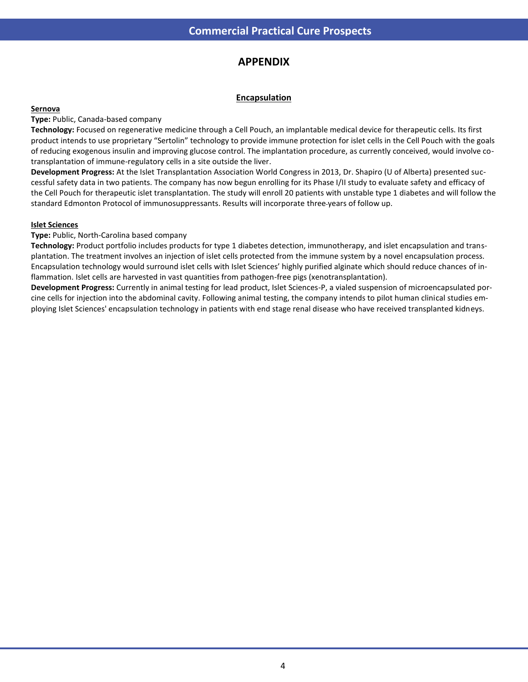### **spects Commercial Practical Cure Prospects APPENDIX**

### **Encapsulation**

#### **Sernova**

**Type:** Public, Canada-based company

**Technology:** Focused on regenerative medicine through a Cell Pouch, an implantable medical device for therapeutic cells. Its first product intends to use proprietary "Sertolin" technology to provide immune protection for islet cells in the Cell Pouch with the goals of reducing exogenous insulin and improving glucose control. The implantation procedure, as currently conceived, would involve cotransplantation of immune-regulatory cells in a site outside the liver.

**Development Progress:** At the Islet Transplantation Association World Congress in 2013, Dr. Shapiro (U of Alberta) presented successful safety data in two patients. The company has now begun enrolling for its Phase I/II study to evaluate safety and efficacy of the Cell Pouch for therapeutic islet transplantation. The study will enroll 20 patients with unstable type 1 diabetes and will follow the standard Edmonton Protocol of immunosuppressants. Results will incorporate three years of follow up.

#### **Islet Sciences**

**Type:** Public, North-Carolina based company

**Technology:** Product portfolio includes products for type 1 diabetes detection, immunotherapy, and islet encapsulation and transplantation. The treatment involves an injection of islet cells protected from the immune system by a novel encapsulation process. Encapsulation technology would surround islet cells with Islet Sciences' highly purified alginate which should reduce chances of inflammation. Islet cells are harvested in vast quantities from pathogen-free pigs (xenotransplantation).

**Development Progress:** Currently in animal testing for lead product, Islet Sciences-P, a vialed suspension of microencapsulated porcine cells for injection into the abdominal cavity. Following animal testing, the company intends to pilot human clinical studies employing Islet Sciences' encapsulation technology in patients with end stage renal disease who have received transplanted kidneys.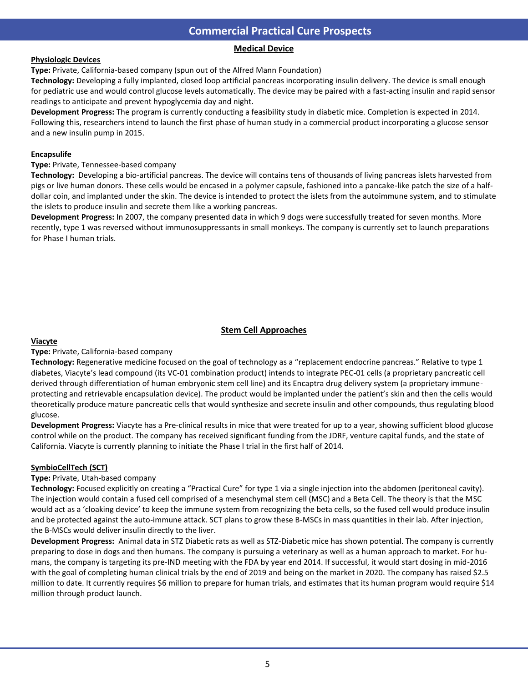### **Commercial Practical Cure Prospects**

### **al Cure Pro Commercial Practical Cure Prospects Medical Device**

#### **Physiologic Devices**

**Type:** Private, California-based company (spun out of the Alfred Mann Foundation)

**Technology:** Developing a fully implanted, closed loop artificial pancreas incorporating insulin delivery. The device is small enough for pediatric use and would control glucose levels automatically. The device may be paired with a fast-acting insulin and rapid sensor readings to anticipate and prevent hypoglycemia day and night.

**Development Progress:** The program is currently conducting a feasibility study in diabetic mice. Completion is expected in 2014. Following this, researchers intend to launch the first phase of human study in a commercial product incorporating a glucose sensor and a new insulin pump in 2015.

#### **Encapsulife**

**Type:** Private, Tennessee-based company

**Technology:** Developing a bio-artificial pancreas. The device will contains tens of thousands of living pancreas islets harvested from pigs or live human donors. These cells would be encased in a polymer capsule, fashioned into a pancake-like patch the size of a halfdollar coin, and implanted under the skin. The device is intended to protect the islets from the autoimmune system, and to stimulate the islets to produce insulin and secrete them like a working pancreas.

**Development Progress:** In 2007, the company presented data in which 9 dogs were successfully treated for seven months. More recently, type 1 was reversed without immunosuppressants in small monkeys. The company is currently set to launch preparations for Phase I human trials.

#### **Stem Cell Approaches**

#### **Viacyte**

#### **Type:** Private, California-based company

**Technology:** Regenerative medicine focused on the goal of technology as a "replacement endocrine pancreas." Relative to type 1 diabetes, Viacyte's lead compound (its VC-01 combination product) intends to integrate PEC-01 cells (a proprietary pancreatic cell derived through differentiation of human embryonic stem cell line) and its Encaptra drug delivery system (a proprietary immuneprotecting and retrievable encapsulation device). The product would be implanted under the patient's skin and then the cells would theoretically produce mature pancreatic cells that would synthesize and secrete insulin and other compounds, thus regulating blood glucose.

**Development Progress:** Viacyte has a Pre-clinical results in mice that were treated for up to a year, showing sufficient blood glucose control while on the product. The company has received significant funding from the JDRF, venture capital funds, and the state of California. Viacyte is currently planning to initiate the Phase I trial in the first half of 2014.

#### **SymbioCellTech (SCT)**

#### **Type:** Private, Utah-based company

**Technology:** Focused explicitly on creating a "Practical Cure" for type 1 via a single injection into the abdomen (peritoneal cavity). The injection would contain a fused cell comprised of a mesenchymal stem cell (MSC) and a Beta Cell. The theory is that the MSC would act as a 'cloaking device' to keep the immune system from recognizing the beta cells, so the fused cell would produce insulin and be protected against the auto-immune attack. SCT plans to grow these B-MSCs in mass quantities in their lab. After injection, the B-MSCs would deliver insulin directly to the liver.

**Development Progress:** Animal data in STZ Diabetic rats as well as STZ-Diabetic mice has shown potential. The company is currently preparing to dose in dogs and then humans. The company is pursuing a veterinary as well as a human approach to market. For humans, the company is targeting its pre-IND meeting with the FDA by year end 2014. If successful, it would start dosing in mid-2016 with the goal of completing human clinical trials by the end of 2019 and being on the market in 2020. The company has raised \$2.5 million to date. It currently requires \$6 million to prepare for human trials, and estimates that its human program would require \$14 million through product launch.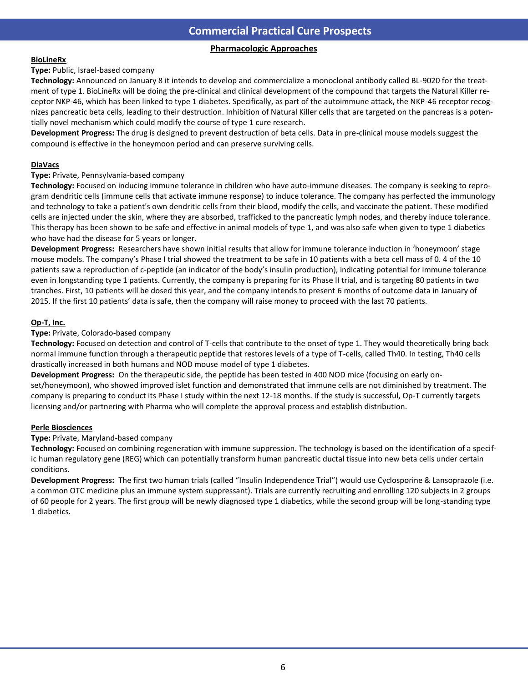### **Commercial Practical Cure Prospects**

### **Pharmacologic Approaches**

#### **BioLineRx**

**Type:** Public, Israel-based company

**Technology:** Announced on January 8 it intends to develop and commercialize a monoclonal antibody called BL-9020 for the treatment of type 1. BioLineRx will be doing the pre-clinical and clinical development of the compound that targets the Natural Killer receptor NKP-46, which has been linked to type 1 diabetes. Specifically, as part of the autoimmune attack, the NKP-46 receptor recognizes pancreatic beta cells, leading to their destruction. Inhibition of Natural Killer cells that are targeted on the pancreas is a potentially novel mechanism which could modify the course of type 1 cure research.

**Development Progress:** The drug is designed to prevent destruction of beta cells. Data in pre-clinical mouse models suggest the compound is effective in the honeymoon period and can preserve surviving cells.

#### **DiaVacs**

#### **Type:** Private, Pennsylvania-based company

**Technology:** Focused on inducing immune tolerance in children who have auto-immune diseases. The company is seeking to reprogram dendritic cells (immune cells that activate immune response) to induce tolerance. The company has perfected the immunology and technology to take a patient's own dendritic cells from their blood, modify the cells, and vaccinate the patient. These modified cells are injected under the skin, where they are absorbed, trafficked to the pancreatic lymph nodes, and thereby induce tolerance. This therapy has been shown to be safe and effective in animal models of type 1, and was also safe when given to type 1 diabetics who have had the disease for 5 years or longer.

**Development Progress:** Researchers have shown initial results that allow for immune tolerance induction in 'honeymoon' stage mouse models. The company's Phase I trial showed the treatment to be safe in 10 patients with a beta cell mass of 0. 4 of the 10 patients saw a reproduction of c-peptide (an indicator of the body's insulin production), indicating potential for immune tolerance even in longstanding type 1 patients. Currently, the company is preparing for its Phase II trial, and is targeting 80 patients in two tranches. First, 10 patients will be dosed this year, and the company intends to present 6 months of outcome data in January of 2015. If the first 10 patients' data is safe, then the company will raise money to proceed with the last 70 patients.

#### **Op-T, Inc.**

**Type:** Private, Colorado-based company

**Technology:** Focused on detection and control of T-cells that contribute to the onset of type 1. They would theoretically bring back normal immune function through a therapeutic peptide that restores levels of a type of T-cells, called Th40. In testing, Th40 cells drastically increased in both humans and NOD mouse model of type 1 diabetes.

**Development Progress:** On the therapeutic side, the peptide has been tested in 400 NOD mice (focusing on early onset/honeymoon), who showed improved islet function and demonstrated that immune cells are not diminished by treatment. The company is preparing to conduct its Phase I study within the next 12-18 months. If the study is successful, Op-T currently targets licensing and/or partnering with Pharma who will complete the approval process and establish distribution.

#### **Perle Biosciences**

**Type:** Private, Maryland-based company

**Technology:** Focused on combining regeneration with immune suppression. The technology is based on the identification of a specific human regulatory gene (REG) which can potentially transform human pancreatic ductal tissue into new beta cells under certain conditions.

**Development Progress:** The first two human trials (called "Insulin Independence Trial") would use Cyclosporine & Lansoprazole (i.e. a common OTC medicine plus an immune system suppressant). Trials are currently recruiting and enrolling 120 subjects in 2 groups of 60 people for 2 years. The first group will be newly diagnosed type 1 diabetics, while the second group will be long-standing type 1 diabetics.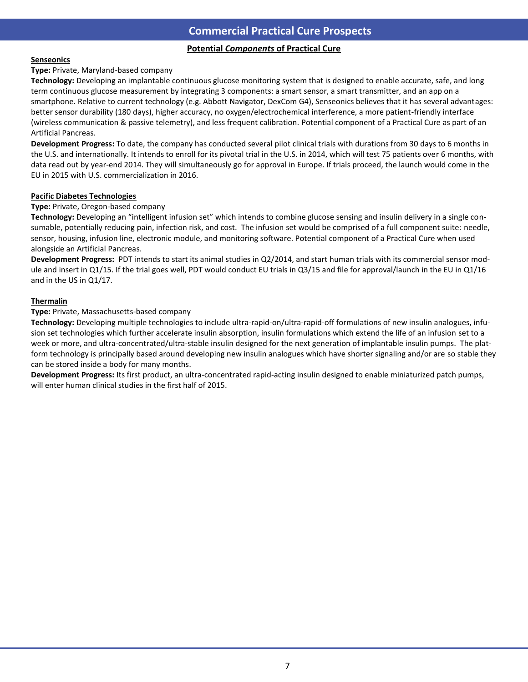## **Potential Components of Practical Cure**

#### **Senseonics**

#### **Type:** Private, Maryland-based company

**Technology:** Developing an implantable continuous glucose monitoring system that is designed to enable accurate, safe, and long term continuous glucose measurement by integrating 3 components: a smart sensor, a smart transmitter, and an app on a smartphone. Relative to current technology (e.g. Abbott Navigator, DexCom G4), Senseonics believes that it has several advantages: better sensor durability (180 days), higher accuracy, no oxygen/electrochemical interference, a more patient-friendly interface (wireless communication & passive telemetry), and less frequent calibration. Potential component of a Practical Cure as part of an Artificial Pancreas.

**Development Progress:** To date, the company has conducted several pilot clinical trials with durations from 30 days to 6 months in the U.S. and internationally. It intends to enroll for its pivotal trial in the U.S. in 2014, which will test 75 patients over 6 months, with data read out by year-end 2014. They will simultaneously go for approval in Europe. If trials proceed, the launch would come in the EU in 2015 with U.S. commercialization in 2016.

#### **Pacific Diabetes Technologies**

#### **Type:** Private, Oregon-based company

**Technology:** Developing an "intelligent infusion set" which intends to combine glucose sensing and insulin delivery in a single consumable, potentially reducing pain, infection risk, and cost. The infusion set would be comprised of a full component suite: needle, sensor, housing, infusion line, electronic module, and monitoring software. Potential component of a Practical Cure when used alongside an Artificial Pancreas.

**Development Progress:** PDT intends to start its animal studies in Q2/2014, and start human trials with its commercial sensor module and insert in Q1/15. If the trial goes well, PDT would conduct EU trials in Q3/15 and file for approval/launch in the EU in Q1/16 and in the US in Q1/17.

#### **Thermalin**

#### **Type:** Private, Massachusetts-based company

**Technology:** Developing multiple technologies to include ultra-rapid-on/ultra-rapid-off formulations of new insulin analogues, infusion set technologies which further accelerate insulin absorption, insulin formulations which extend the life of an infusion set to a week or more, and ultra-concentrated/ultra-stable insulin designed for the next generation of implantable insulin pumps. The platform technology is principally based around developing new insulin analogues which have shorter signaling and/or are so stable they can be stored inside a body for many months.

**Development Progress:** Its first product, an ultra-concentrated rapid-acting insulin designed to enable miniaturized patch pumps, will enter human clinical studies in the first half of 2015.